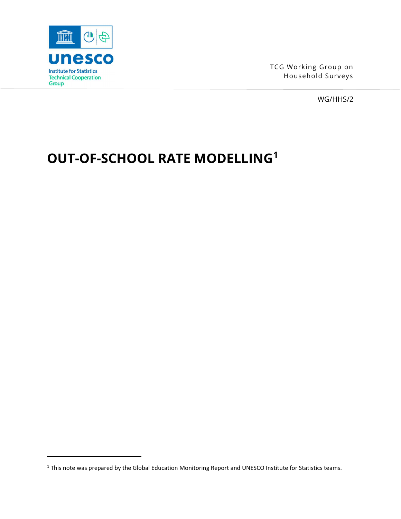

TCG Working Group on Household Surveys

WG/HHS/2

# OUT-OF-SCHOOL RATE MODELLING<sup>1</sup>

<sup>&</sup>lt;sup>1</sup> This note was prepared by the Global Education Monitoring Report and UNESCO Institute for Statistics teams.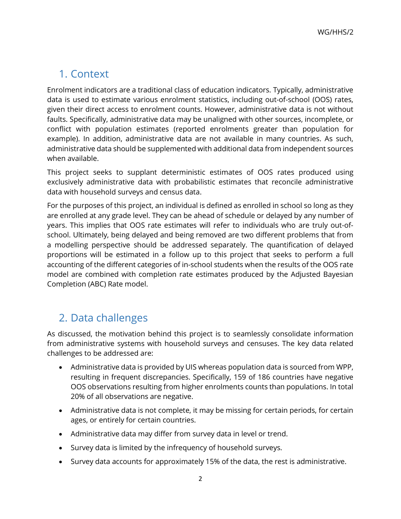## 1. Context

Enrolment indicators are a traditional class of education indicators. Typically, administrative data is used to estimate various enrolment statistics, including out-of-school (OOS) rates, given their direct access to enrolment counts. However, administrative data is not without faults. Specifically, administrative data may be unaligned with other sources, incomplete, or conflict with population estimates (reported enrolments greater than population for example). In addition, administrative data are not available in many countries. As such, administrative data should be supplemented with additional data from independent sources when available.

This project seeks to supplant deterministic estimates of OOS rates produced using exclusively administrative data with probabilistic estimates that reconcile administrative data with household surveys and census data.

For the purposes of this project, an individual is defined as enrolled in school so long as they are enrolled at any grade level. They can be ahead of schedule or delayed by any number of years. This implies that OOS rate estimates will refer to individuals who are truly out-ofschool. Ultimately, being delayed and being removed are two different problems that from a modelling perspective should be addressed separately. The quantification of delayed proportions will be estimated in a follow up to this project that seeks to perform a full accounting of the different categories of in-school students when the results of the OOS rate model are combined with completion rate estimates produced by the Adjusted Bayesian Completion (ABC) Rate model.

## 2. Data challenges

As discussed, the motivation behind this project is to seamlessly consolidate information from administrative systems with household surveys and censuses. The key data related challenges to be addressed are:

- Administrative data is provided by UIS whereas population data is sourced from WPP, resulting in frequent discrepancies. Specifically, 159 of 186 countries have negative OOS observations resulting from higher enrolments counts than populations. In total 20% of all observations are negative.
- Administrative data is not complete, it may be missing for certain periods, for certain ages, or entirely for certain countries.
- Administrative data may differ from survey data in level or trend.
- Survey data is limited by the infrequency of household surveys.
- Survey data accounts for approximately 15% of the data, the rest is administrative.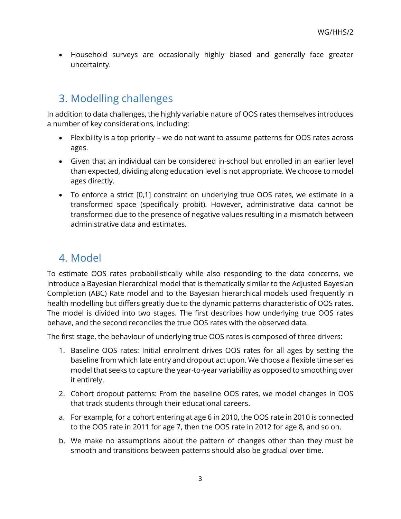Household surveys are occasionally highly biased and generally face greater uncertainty.

#### 3. Modelling challenges

In addition to data challenges, the highly variable nature of OOS rates themselves introduces a number of key considerations, including:

- Flexibility is a top priority we do not want to assume patterns for OOS rates across ages.
- Given that an individual can be considered in-school but enrolled in an earlier level than expected, dividing along education level is not appropriate. We choose to model ages directly.
- To enforce a strict [0,1] constraint on underlying true OOS rates, we estimate in a transformed space (specifically probit). However, administrative data cannot be transformed due to the presence of negative values resulting in a mismatch between administrative data and estimates.

### 4. Model

To estimate OOS rates probabilistically while also responding to the data concerns, we introduce a Bayesian hierarchical model that is thematically similar to the Adjusted Bayesian Completion (ABC) Rate model and to the Bayesian hierarchical models used frequently in health modelling but differs greatly due to the dynamic patterns characteristic of OOS rates. The model is divided into two stages. The first describes how underlying true OOS rates behave, and the second reconciles the true OOS rates with the observed data.

The first stage, the behaviour of underlying true OOS rates is composed of three drivers:

- 1. Baseline OOS rates: Initial enrolment drives OOS rates for all ages by setting the baseline from which late entry and dropout act upon. We choose a flexible time series model that seeks to capture the year-to-year variability as opposed to smoothing over it entirely.
- 2. Cohort dropout patterns: From the baseline OOS rates, we model changes in OOS that track students through their educational careers.
- a. For example, for a cohort entering at age 6 in 2010, the OOS rate in 2010 is connected to the OOS rate in 2011 for age 7, then the OOS rate in 2012 for age 8, and so on.
- b. We make no assumptions about the pattern of changes other than they must be smooth and transitions between patterns should also be gradual over time.